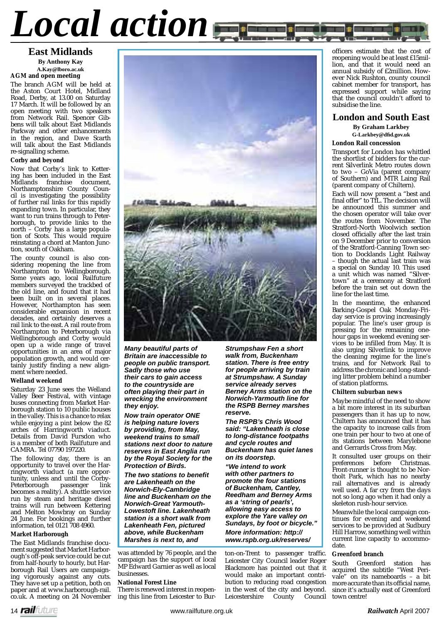# *Local action*

#### **East Midlands By Anthony Kay A.Kay@lboro.ac.uk AGM and open meeting**

The branch AGM will be held at the Aston Court Hotel, Midland Road, Derby, at 13.00 on Saturday 17 March. It will be followed by an open meeting with two speakers from Network Rail. Spencer Gibbens will talk about East Midlands Parkway and other enhancements in the region, and Dave Scarth will talk about the East Midlands re-signalling scheme.

#### **Corby and beyond**

Now that Corby's link to Kettering has been included in the East Midlands franchise document, Northamptonshire County Council is investigating the possibility of further rail links for this rapidly expanding town. In particular, they want to run trains through to Peterborough, to provide links to the north – Corby has a large population of Scots. This would require reinstating a chord at Manton Junction, south of Oakham.

The county council is also considering reopening the line from Northampton to Wellingborough. Some years ago, local Railfuture members surveyed the trackbed of the old line, and found that it had been built on in several places. However, Northampton has seen considerable expansion in recent decades, and certainly deserves a rail link to the east. A rail route from Northampton to Peterborough via Wellingborough and Corby would open up a wide range of travel opportunities in an area of major population growth, and would certainly justify finding a new alignment where needed.

#### **Welland weekend**

Saturday 23 June sees the Welland Valley Beer Festival, with vintage buses connecting from Market Harborough station to 10 public houses in the valley. This is a chance to relax while enjoying a pint below the 82 arches of Harringworth viaduct. Details from David Fursdon who is a member of both Railfuture and CAMRA. Tel 07790 197220.

The following day, there is an opportunity to travel over the Harringworth viaduct (a rare opportunity, unless and until the Corby-Peterborough passenger link becomes a reality). A shuttle service run by steam and heritage diesel trains will run between Kettering and Melton Mowbray on Sunday 24 June. For bookings and further information, tel 0121 708 4960.

#### **Market Harborough**

The East Midlands franchise document suggested that Market Harborough's off-peak service could be cut from half-hourly to hourly, but Harborough Rail Users are campaigning vigorously against any cuts. They have set up a petition, both on paper and at www.harborough-rail. co.uk. A meeting on 24 November



*Many beautiful parts of Britain are inaccessible to people on public transport. Sadly those who use their cars to gain access to the countryside are often playing their part in wrecking the environment they enjoy.*

*Now train operator ONE is helping nature lovers by providing, from May, weekend trains to small stations next door to nature reserves in East Anglia run by the Royal Society for the Protection of Birds.*

*The two stations to benefit are Lakenheath on the Norwich-Ely-Cambridge line and Buckenham on the Norwich-Great Yarmouth-Lowestoft line. Lakenheath station is a short walk from Lakenheath Fen, pictured above, while Buckenham Marshes is next to, and* 

was attended by 76 people, and the campaign has the support of local MP Edward Garnier as well as local businesses.

#### **National Forest Line**

There is renewed interest in reopening this line from Leicester to Bur-

*Strumpshaw Fen a short walk from, Buckenham station. There is free entry for people arriving by train at Strumpshaw. A Sunday service already serves Berney Arms station on the Norwich-Yarmouth line for the RSPB Berney marshes reserve.*

*The RSPB's Chris Wood said: "Lakenheath is close to long-distance footpaths and cycle routes and Buckenham has quiet lanes on its doorstep.* 

*"We intend to work with other partners to promote the four stations of Buckenham, Cantley, Reedham and Berney Arms as a 'string of pearls', allowing easy access to explore the Yare valley on Sundays, by foot or bicycle." More information: http:// www.rspb.org.uk/reserves/*

ton-on-Trent to passenger traffic. Leicester City Council leader Roger Blackmore has pointed out that it would make an important contribution to reducing road congestion in the west of the city and beyond.<br>Leicestershire County Council Leicestershire County

officers estimate that the cost of reopening would be at least £15million, and that it would need an annual subsidy of £2million. However Nick Rushton, county council cabinet member for transport, has expressed support while saying that the council couldn't afford to subsidise the line.

#### **London and South East By Graham Larkbey**

**G-Larkbey@dfi d.gov.uk**

#### **London Rail concession**

Transport for London has whittled the shortlist of bidders for the current Silverlink Metro routes down to two – GoVia (parent company of Southern) and MTR Laing Rail (parent company of Chiltern).

Each will now present a "best and final offer" to TfL. The decision will be announced this summer and the chosen operator will take over the routes from November. The Stratford-North Woolwich section closed officially after the last train on 9 December prior to conversion of the Stratford-Canning Town section to Docklands Light Railway – though the actual last train was a special on Sunday 10. This used a unit which was named "Silvertown" at a ceremony at Stratford before the train set out down the line for the last time.

In the meantime, the enhanced Barking-Gospel Oak Monday-Friday service is proving increasingly popular. The line's user group is pressing for the remaining onehour gaps in weekend evening services to be infilled from May. It is also urging Silverlink to improve the cleaning regime for the line's trains, and for Network Rail to address the chronic and long-standing litter problem behind a number of station platforms.

#### **Chiltern suburban news**

Maybe mindful of the need to show a bit more interest in its suburban passengers than it has up to now, Chiltern has announced that it has the capacity to increase calls from one train per hour to two at one of its stations between Marylebone and Gerrards Cross from May.

It consulted user groups on their preferences before Christmas. Front-runner is thought to be Northolt Park, which has no nearby rail alternatives and is already well used. A far cry from the days not so long ago when it had only a skeleton rush-hour service.

Meanwhile the local campaign continues for evening and weekend services to be provided at Sudbury Hill Harrow, something well within current line capacity to accommodate.

#### **Greenford branch**

South Greenford station has acquired the subtitle "West Perivale" on its nameboards – a bit more accurate than its official name, since it's actually east of Greenford town centre!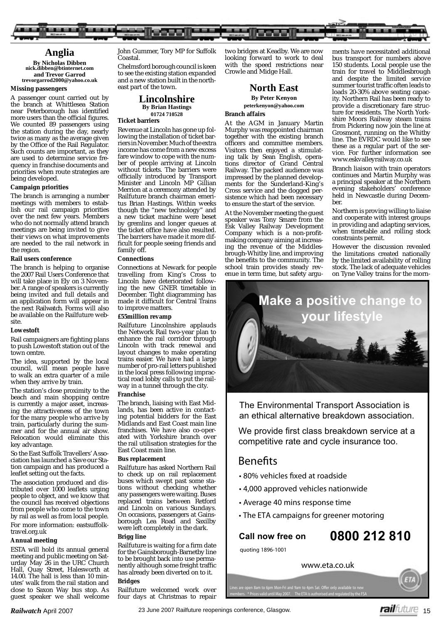

# **Anglia**

**By Nicholas Dibben nick.dibben@btinternet.com and Trevor Garrod trevorgarrod2000@yahoo.co.uk**

#### **Missing passengers**

A passenger count carried out by the branch at Whittlesea Station near Peterborough has identified more users than the official figures. We counted 89 passengers using the station during the day, nearly twice as many as the average given by the Office of the Rail Regulator. Such counts are important, as they are used to determine service frequency in franchise documents and priorities when route strategies are being developed.

#### **Campaign priorities**

The branch is arranging a number meetings with members to establish our rail campaign priorities over the next few years. Members who do not normally attend branch meetings are being invited to give their views on what improvements are needed to the rail network in the region.

#### **Rail users conference**

The branch is helping to organise the 2007 Rail Users Conference that will take place in Ely on 3 November. A range of speakers is currently being invited and full details and an application form will appear in the next *Railwatch*. Forms will also be available on the Railfuture website.

#### **Lowestoft**

Rail campaigners are fighting plans to push Lowestoft station out of the town centre.

The idea, supported by the local council, will mean people have to walk an extra quarter of a mile when they arrive by train.

The station's close proximity to the beach and main shopping centre is currently a major asset, increasing the attractiveness of the town for the many people who arrive by train, particularly during the summer and for the annual air show. Relocation would eliminate this key advantage.

So the East Suffolk Travellers' Association has launched a Save our Station campaign and has produced a leaflet setting out the facts.

The association produced and distributed over  $1000$  leaflets urging people to object, and we know that the council has received objections from people who come to the town by rail as well as from local people. For more information: eastsuffolktravel.org.uk

#### **Annual meeting**

ESTA will hold its annual general meeting and public meeting on Saturday May 26 in the URC Church Hall, Quay Street, Halesworth at 14.00. The hall is less than 10 minutes' walk from the rail station and close to Saxon Way bus stop. As guest speaker we shall welcome

John Gummer, Tory MP for Suffolk Coastal.

Chelmsford borough council is keen to see the existing station expanded and a new station built in the northeast part of the town.

#### **Lincolnshire By Brian Hastings 01724 710528 Ticket barriers**

Revenue at Lincoln has gone up following the installation of ticket barriers in November. Much of the extra income has come from a new excess fare window to cope with the number of people arriving at Lincoln without tickets. The barriers were officially introduced by Transport Minister and Lincoln MP Gillian Merrion at a ceremony attended by Railfuture branch chairman emeritus Brian Hastings. Within weeks though the "new technology" and a new ticket machine were beset by gremlins and longer queues at the ticket office have also resulted. The barriers have made it more difficult for people seeing friends and family off.

#### **Connections**

Connections at Newark for people travelling from King's Cross to Lincoln have deteriorated following the new GNER timetable in December. Tight diagramming has made it difficult for Central Trains to improve matters.

#### **£55million revamp**

Railfuture Lincolnshire applauds the Network Rail two-year plan to enhance the rail corridor through Lincoln with track renewal and layout changes to make operating trains easier. We have had a large number of pro-rail letters published in the local press following impractical road lobby calls to put the railway in a tunnel through the city.

#### **Franchise**

The branch, liaising with East Midlands, has been active in contacting potential bidders for the East Midlands and East Coast main line franchises. We have also co-operated with Yorkshire branch over the rail utilisation strategies for the East Coast main line.

#### **Bus replacement**

Railfuture has asked Northern Rail to check up on rail replacement buses which swept past some stations without checking whether any passengers were waiting. Buses replaced trains between Retford and Lincoln on various Sundays. On occasions, passengers at Gainsborough Lea Road and Saxilby were left completely in the dark.

#### **Brigg line**

Railfuture is waiting for a firm date for the Gainsborough-Barnetby line to be brought back into use permanently although some freight traffic has already been diverted on to it.

#### **Bridges**

Railfuture welcomed work over four days at Christmas to repair

two bridges at Keadby. We are now looking forward to work to deal with the speed restrictions near Crowle and Midge Hall.

#### **North East By Peter Kenyon**

**peterkenyon@yahoo.com**

#### **Branch affairs**

At the AGM in January Martin Murphy was reappointed chairman together with the existing branch officers and committee members. Visitors then enjoyed a stimulating talk by Sean English, operations director of Grand Central Railway. The packed audience was impressed by the planned developments for the Sunderland-King's Cross service and the dogged persistence which had been necessary to ensure the start of the service.

At the November meeting the guest speaker was Tony Smare from the Esk Valley Railway Development Company which is a non-profitmaking company aiming at increasing the revenue of the Middlesbrough-Whitby line, and improving the benefits to the community. The school train provides steady revenue in term time, but safety arguments have necessitated additional bus transport for numbers above 150 students. Local people use the train for travel to Middlesbrough and despite the limited service summer tourist traffic often leads to loads 20-30% above seating capacity. Northern Rail has been ready to provide a discretionary fare structure for residents. The North Yorkshire Moors Railway steam trains from Pickering now join the line at Grosmont, running on the Whitby line. The EVRDC would like to see these as a regular part of the service. For further information see www.eskvalleyrailway.co.uk

Branch liaison with train operators continues and Martin Murphy was a principal speaker at the Northern evening stakeholders' conference held in Newcastle during December.

Northern is proving willing to liaise and cooperate with interest groups in providing and adapting services, when timetable and rolling stock constraints permit.

However the discussion revealed the limitations created nationally by the limited availability of rolling stock. The lack of adequate vehicles on Tyne Valley trains for the morn-

# **Make a positive change of**



The Environmental Transport Association is an ethical alternative breakdown association.

We provide first class breakdown service at a competitive rate and cycle insurance too.

# **Benefits**

- **80% vehicles fixed at roadside**
- **4,000 approved vehicles nationwide**
- **Average 40 mins response time**
- **The ETA campaigns for greener motoring**

# **COULD 12 812 8100 2000 212 8100**

www.eta.co.uk

Lines are open 8am to 6pm Mon-Fri and 9am to 4pm Sat. Offer only available to new members. \* Prices valid until May 2007. The ETA is authorised and regulated by the FSA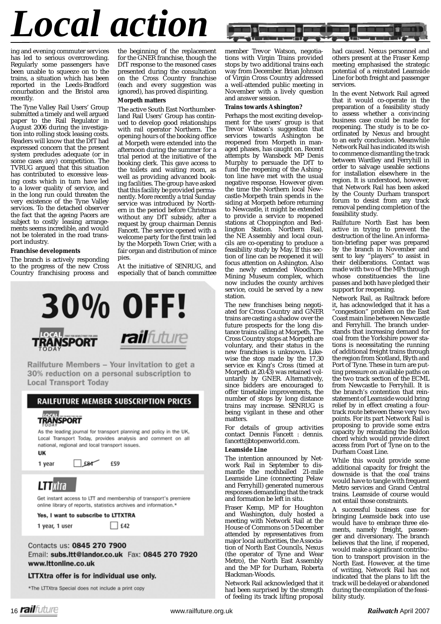# *Local action*

ing and evening commuter services has led to serious overcrowding. Regularly some passengers have been unable to squeeze on to the trains, a situation which has been reported in the Leeds-Bradford conurbation and the Bristol area recently.

The Tyne Valley Rail Users' Group submitted a timely and well argued paper to the Rail Regulator in August 2006 during the investigation into rolling stock leasing costs. Readers will know that the DfT had expressed concern that the present system precludes adequate (or in some cases any) competition. The TVRUG argued that this situation has contributed to excessive leasing costs which in turn have led to a lower quality of service, and in the long run could threaten the very existence of the Tyne Valley services. To the detached observer the fact that the ageing Pacers are subject to costly leasing arrangements seems incredible, and would not be tolerated in the road transport industry.

#### **Franchise developments**

The branch is actively responding to the progress of the new Cross Country franchising process and

the beginning of the replacement for the GNER franchise, though the DfT response to the reasoned cases presented during the consultation on the Cross Country franchise (each and every suggestion was ignored), has proved dispiriting.

#### **Morpeth matters**

The active South East Northumberland Rail Users' Group has continued to develop good relationships with rail operator Northern. The opening hours of the booking office at Morpeth were extended into the afternoon during the summer for a trial period at the initiative of the booking clerk. This gave access to the toilets and waiting room, as well as providing advanced booking facilities. The group have asked that this facility be provided permanently. More recently a trial Sunday service was introduced by Northern in the period before Christmas without any DfT subsidy, after a request by group chairman Dennis Fancett. The service opened with a welcome party for the first train led by the Morpeth Town Crier, with a fair organ and distribution of mince pies.

At the initiative of SENRUG, and especially that of banch committee



Railfuture Members - Your invitation to get a 30% reduction on a personal subscription to **Local Transport Today** 

## **RAILFUTURE MEMBER SUBSCRIPTION PRICES**

# **TRANSPORT**

As the leading journal for transport planning and policy in the UK, Local Transport Today, provides analysis and comment on all national, regional and local transport issues.

UK

1 year

 $Ex$ £59

# LTTRITA

Get instant access to LTT and membership of transport's premiere online library of reports, statistics archives and information.\*

Yes, I want to subscribe to LTTXTRA

1 year, 1 user

Contacts us: 0845 270 7900

Email: subs.ltt@landor.co.uk Fax: 0845 270 7920 www.lttonline.co.uk

#### LTTXtra offer is for individual use only.

\*The LTTXtra Special does not include a print copy

member Trevor Watson, negotiations with Virgin Trains provided stops by two additional trains each way from December. Brian Johnson of Virgin Cross Country addressed a well-attended public meeting in November with a lively question and answer session.

#### **Trains towards Ashington?**

Perhaps the most exciting development for the users' group is that Trevor Watson's suggestion that services towards Ashington be reopened from Morpeth in managed phases, has caught on. Recent attempts by Wansbeck MP Denis Murphy to persuade the DfT to fund the reopening of the Ashington line have met with the usual negative response. However given the time the Northern local Newcastle-Morpeth train spends in the siding at Morpeth before returning to Newcastle, it might be extended to provide a service to reopened stations at Choppington and Bedlington Station. Northern Rail, the NE Assembly and local councils are co-operating to produce a feasibility study by May. If this section of line can be reopened it will focus attention on Ashington. Also the newly extended Woodhorn Mining Museum complex, which now includes the county archives service, could be served by a new station.

The new franchises being negotiated for Cross Country and GNER trains are casting a shadow over the future prospects for the long distance trains calling at Morpeth. The Cross Country stops at Morpeth are voluntary, and their status in the new franchises is unknown. Likewise the stop made by the 17.30 service ex King's Cross (timed at Morpeth at 20.43) was retained voluntarily by GNER. Alternatively, since bidders are encouraged to offer timetable improvements, the number of stops by long distance trains may increase. SENRUG is being vigilant in these and other matters.

For details of group activities contact Dennis Fancett : dennis. fancett@btopenworld.com.

#### **Leamside Line**

The intention announced by Network Rail in September to dismantle the mothballed 21-mile Leamside Line (connecting Pelaw and Ferryhill) generated numerous responses demanding that the track and formation be left in situ.

Fraser Kemp, MP for Houghton and Washington, duly hosted a meeting with Network Rail at the House of Commons on 5 December attended by representatives from major local authorities, the Association of North East Councils, Nexus (the operator of Tyne and Wear Metro), the North East Assembly and the MP for Durham, Roberta Blackman-Woods.

Network Rail acknowledged that it had been surprised by the strength of feeling its track lifting proposal

had caused. Nexus personnel and others present at the Fraser Kemp meeting emphasised the strategic potential of a reinstated Leamside Line for both freight and passenger services.

In the event Network Rail agreed that it would co-operate in the preparation of a feasibility study to assess whether a convincing business case could be made for reopening. The study is to be coordinated by Nexus and brought to an early conclusion. Meanwhile Network Rail has indicated its wish to commence dismantling the track between Wardley and Ferryhill in order to salvage useable sections for installation elsewhere in the region. It is understood, however, that Network Rail has been asked by the County Durham transport forum to desist from any track removal pending completion of the feasibility study.

Railfuture North East has been active in trying to prevent the destruction of the line. An information-briefing paper was prepared by the branch in November and sent to key "players" to assist in their deliberations. Contact was made with two of the MPs through whose constituencies the line passes and both have pledged their support for reopening.

Network Rail, as Railtrack before it, has acknowledged that it has a "congestion" problem on the East Coast main line between Newcastle and Ferryhill. The branch understands that increasing demand for coal from the Yorkshire power stations is necessitating the running of additional freight trains through the region from Scotland, Blyth and Port of Tyne. These in turn are putting pressure on available paths on the two track section of the ECML from Newcastle to Ferryhill. It is the branch's contention that reinstatement of Leamside would bring relief by in effect creating a fourtrack route between these very two points. For its part Network Rail is proposing to provide some extra capacity by reinstating the Boldon chord which would provide direct access from Port of Tyne on to the Durham Coast Line.

While this would provide some additional capacity for freight the downside is that the coal trains would have to tangle with frequent Metro services and Grand Central trains. Leamside of course would not entail those constraints.

A successful business case for bringing Leamside back into use would have to embrace three elements, namely freight, passenger and diversionary. The branch believes that the line, if reopened, would make a significant contribution to transport provision in the North East. However, at the time of writing, Network Rail has not indicated that the plans to lift the track will be delayed or abandoned during the compilation of the feasibility study.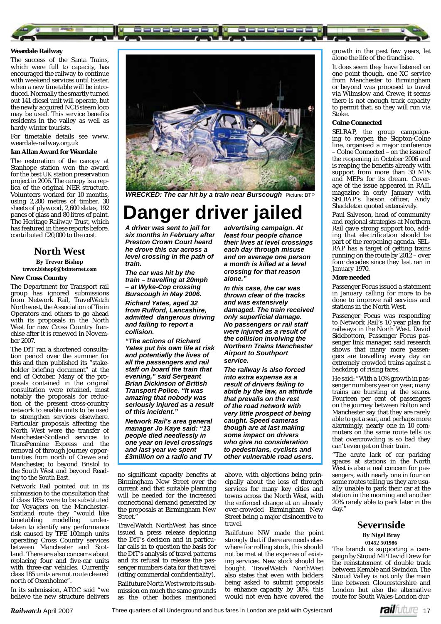

#### **Weardale Railway**

The success of the Santa Trains, which were full to capacity, has encouraged the railway to continue with weekend services until Easter, when a new timetable will be introduced. Normally the smartly turned out 141 diesel unit will operate, but the newly acquired NCB steam loco may be used. This service benefits residents in the valley as well as hardy winter tourists.

For timetable details see www. weardale-railway.org.uk

#### **Ian Allan Award for Weardale**

The restoration of the canopy at Stanhope station won the award for the best UK station preservation project in 2006. The canopy is a replica of the original NER structure. Volunteers worked for 10 months, using 2,200 metres of timber, 30 sheets of plywood, 2,600 slates, 192 panes of glass and 80 litres of paint. The Heritage Railway Trust, which has featured in these reports before, contributed £20,000 to the cost.

### **North West By Trevor Bishop**

# **trevor.bishop0@btinternet.com**

#### **New Cross Country**

The Department for Transport rail group has ignored submissions from Network Rail, TravelWatch Northwest, the Association of Train Operators and others to go ahead with its proposals in the North West for new Cross Country franchise after it is renewed in November 2007.

The DfT ran a shortened consultation period over the summer for this and then published its "stakeholder briefing document" at the end of October. Many of the proposals contained in the original consultation were retained, most notably the proposals for reduction of the present cross-country network to enable units to be used to strengthen services elsewhere. Particular proposals affecting the North West were the transfer of Manchester-Scotland services to TransPennine Express and the removal of through journey opportunities from north of Crewe and Manchester, to beyond Bristol to the South West and beyond Reading to the South East.

Network Rail pointed out in its submission to the consultation that if class 185s were to be substituted for Voyagers on the Manchester-Scotland route they "would like<br>timetabling modelling undermodelling undertaken to identify any performance risk caused by TPE 100mph units operating Cross Country services between Manchester and Scotland. There are also concerns about replacing four and five-car units with three-car vehicles. Currently class 185 units are not route cleared north of Oxenholme".

In its submission, ATOC said "we believe the new structure delivers



**WRECKED: The car hit by a train near Burscough Picture: BTP** 

# **Danger driver jailed**

*A driver was sent to jail for six months in February after Preston Crown Court heard he drove this car across a level crossing in the path of train.*

*The car was hit by the train – travelling at 20mph – at Wyke-Cop crossing Burscough in May 2006.*

*Richard Yates, aged 32 from Rufford, Lancashire, admitted dangerous driving and failing to report a collision.*

*"The actions of Richard Yates put his own life at risk and potentially the lives of all the passengers and rail staff on board the train that evening," said Sergeant Brian Dickinson of British Transport Police. "It was amazing that nobody was seriously injured as a result of this incident."* 

*Network Rail's area general manager Jo Kaye said: "13 people died needlessly in one year on level crossings and last year we spent £3million on a radio and TV* 

no significant capacity benefits at Birmingham New Street over the current and that suitable planning will be needed for the increased connectional demand generated by the proposals at Birmingham New Street."

TravelWatch NorthWest has since issued a press release deploring the DfT's decision and in particular calls in to question the basis for the DfT's analysis of travel patterns and its refusal to release the passenger numbers data for that travel (citing commercial confidentiality). Railfuture North West wrote its submission on much the same grounds as the other bodies mentioned

*advertising campaign. At least four people chance their lives at level crossings each day through misuse and on average one person a month is killed at a level crossing for that reason alone."* 

*In this case, the car was thrown clear of the tracks and was extensively damaged. The train received only superfi cial damage. No passengers or rail staff were injured as a result of the collision involving the Northern Trains Manchester Airport to Southport service.*

*The railway is also forced into extra expense as a result of drivers failing to abide by the law, an attitude that prevails on the rest of the road network with very little prospect of being caught. Speed cameras though are at last making some impact on drivers who give no consideration to pedestrians, cyclists and other vulnerable road users.*

above, with objections being principally about the loss of through services for many key cities and towns across the North West, with the enforced change at an already over-crowded Birmingham New Street being a major disincentive to travel.

Railfuture NW made the point strongly that if there are needs elsewhere for rolling stock, this should not be met at the expense of existing services. New stock should be bought. TravelWatch NorthWest also states that even with bidders being asked to submit proposals to enhance capacity by 30%, this would not even have covered the

growth in the past few years, let alone the life of the franchise.

It does seem they have listened on one point though, one XC service from Manchester to Birmingham or beyond was proposed to travel via Wilmslow and Crewe; it seems there is not enough track capacity to permit that, so they will run via Stoke.

#### **Colne Connected**

SELRAP, the group campaigning to reopen the Skipton-Colne line, organised a major conference – Colne Connected – on the issue of the reopening in October 2006 and is reaping the benefits already with support from more than 30 MPs and MEPs for its dream. Coverage of the issue appeared in *RAIL* magazine in early January with SELRAP's liaison officer, Andy Shackleton quoted extensively.

Paul Salveson, head of community and regional strategies at Northern Rail gave strong support too, adding that electrification should be part of the reopening agenda. SEL-RAP has a target of getting trains running on the route by 2012 – over four decades since they last ran in January 1970.

#### **More needed**

Passenger Focus issued a statement in January calling for more to be done to improve rail services and stations in the North West.

Passenger Focus was responding to Network Rail's 10 year plan for railways in the North West. David Sidebottom, Passenger Focus passenger link manager, said research shows that many more passengers are travelling every day on extremely crowded trains against a backdrop of rising fares.

He said: "With a 10% growth in passenger numbers year on year, many trains are bursting at the seams. Fourteen per cent of passengers on the journey between Bolton and Manchester say that they are rarely able to get a seat, and perhaps more alarmingly, nearly one in 10 commuters on the same route tells us that overcrowding is so bad they can't even get on their train.

"The acute lack of car parking spaces at stations in the North West is also a real concern for passengers, with nearly one in four on some routes telling us they are usually unable to park their car at the station in the morning and another 20% rarely able to park later in the day."

# **Severnside**

**By Nigel Bray 01452 501986**

The branch is supporting a campaign by Stroud MP David Drew for the reinstatement of double track between Kemble and Swindon. The Stroud Valley is not only the main line between Gloucestershire and London but also the alternative route for South Wales-London dur-

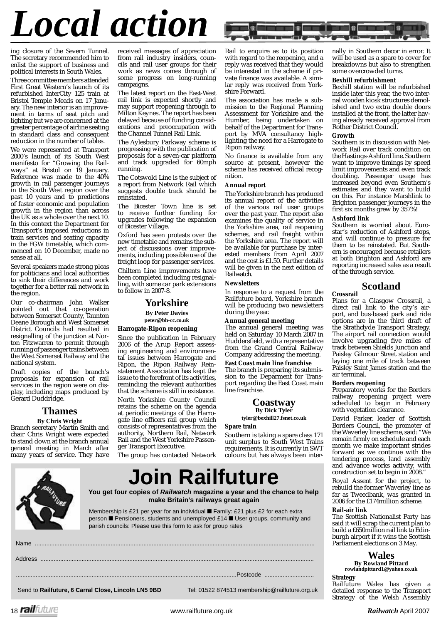# *Local action*

ing closure of the Severn Tunnel. The secretary recommended him to enlist the support of business and political interests in South Wales.

Three committee members attended First Great Western's launch of its refurbished InterCity 125 train at Bristol Temple Meads on 17 January. The new interior is an improvement in terms of seat pitch and lighting but we are concerned at the greater percentage of airline seating in standard class and consequent reduction in the number of tables.

We were represented at Transport 2000's launch of its South West manifesto for "Growing the Railways" at Bristol on 19 January. Reference was made to the 40% growth in rail passenger journeys in the South West region over the past 10 years and to predictions of faster economic and population growth in the region than across the UK as a whole over the next 10. In this context the Department for Transport's imposed reductions in train services and seating capacity in the FGW timetable, which commenced on 10 December, made no sense at all.

Several speakers made strong pleas for politicians and local authorities to sink their differences and work together for a better rail network in the region.

Our co-chairman John Walker pointed out that co-operation between Somerset County, Taunton Deane Borough and West Somerset District Councils had resulted in resignalling of the junction at Norton Fitzwarren to permit through running of passenger trains between the West Somerset Railway and the national system.

Draft copies of the branch's proposals for expansion of rail services in the region were on display, including maps produced by Gerard Duddridge.

### **Thames**

**By Chris Wright**

Branch secretary Martin Smith and chair Chris Wright were expected to stand down at the branch annual general meeting in March after many years of service. They have

received messages of appreciation from rail industry insiders, councils and rail user groups for their work as news comes through of some progress on long-running campaigns.

The latest report on the East-West rail link is expected shortly and may support reopening through to Milton Keynes. The report has been delayed because of funding considerations and preoccupation with the Channel Tunnel Rail Link.

The Aylesbury Parkway scheme is progressing with the publication of proposals for a seven-car platform and track upgraded for 60mph running.

The Cotswold Line is the subject of a report from Network Rail which suggests double track should be reinstated.

The Bicester Town line is set to receive further funding for upgrades following the expansion of Bicester Village.

Oxford has seen protests over the new timetable and remains the subject of discussions over improvements, including possible use of the freight loop for passenger services. Chiltern Line improvements have been completed including resignalling, with some car park extensions to follow in 2007-8.

### **Yorkshire**

**By Peter Davies peter@bh-cc.co.uk**

#### **Harrogate-Ripon reopening**

Since the publication in February 2006 of the Arup Report assessing engineering and environmental issues between Harrogate and Ripon, the Ripon Railway Reinstatement Association has kept the issue to the forefront of its activities, reminding the relevant authorities that the scheme is still in existence.

North Yorkshire County Council retains the scheme on the agenda at periodic meetings of the Harrogate line officers rail group which consists of representatives from the authority, Northern Rail, Network Rail and the West Yorkshire Passenger Transport Executive.

The group has contacted Network



Membership is £21 per year for an individual ■ Family: £21 plus £2 for each extra person ■ Pensioners, students and unemployed £14 ■ User groups, community and parish councils: Please use this form to ask for group rates

Name ..........................................................................................................................................................................

Rail to enquire as to its position with regard to the reopening, and a reply was received that they would be interested in the scheme if private finance was available. A similar reply was received from Yorkshire Forward.

The association has made a submission to the Regional Planning Assessment for Yorkshire and the Humber, being undertaken on behalf of the Department for Transport by MVA consultancy highlighting the need for a Harrogate to Ripon railway.

No finance is available from any source at present, however the scheme has received official recognition.

#### **Annual report**

The Yorkshire branch has produced its annual report of the activities of the various rail user groups over the past year. The report also examines the quality of service in the Yorkshire area, rail reopening schemes, and rail freight within the Yorkshire area. The report will be available for purchase by interested members from April 2007 and the cost is £1.50. Further details will be given in the next edition of *Railwatch*.

#### **Newsletters**

In response to a request from the Railfuture board, Yorkshire branch will be producing two newsletters during the year.

#### **Annual general meeting**

The annual general meeting was held on Saturday 10 March 2007 in Huddersfield, with a representative from the Grand Central Railway Company addressing the meeting.

#### **East Coast main line franchise**

The branch is preparing its submission to the Deparment for Transport regarding the East Coast main line franchise.

## **Coastway**

**By Dick Tyler tyler@bexhill27.fsnet.co.uk**

#### **Spare train**

Southern is taking a spare class 171 unit surplus to South West Trains requirements. It is currently in SWT colours but has always been inter-

# **Join Railfuture**

**You get four copies of** *Railwatch* **magazine a year and the chance to help make Britain's railways great again**

Address ...................................................................................................................................................................... ......................................................................................................................................Postcode ..............................

nally in Southern decor in error. It will be used as a spare to cover for breakdowns but also to strengthen some overcrowded turns.

#### **Bexhill refurbishment**

Bexhill station will be refurbished inside later this year, the two internal wooden kiosk structures demolished and two extra double doors installed at the front, the latter having already received approval from Rother District Council.

#### **Growth**

Southern is in discussion with Network Rail over track condition on the Hastings-Ashford line. Southern want to improve timings by speed limit improvements and even track doubling. Passenger usage has increased beyond even Southern's estimates and they want to build on this. For instance Marshlink to Brighton passenger journeys in the first six months grew by 357%!

#### **Ashford link**

Southern is worried about Eurostar's reduction of Ashford stops, and will continue to pressure for them to be reinstated. But Southern is encouraged because retailers at both Brighton and Ashford are reporting increased sales as a result of the through service.

# **Scotland**

## **Crossrail**

Plans for a Glasgow Crossrail, a direct rail link to the city's airport, and bus-based park and ride options are in the third draft of the Strathclyde Transport Strategy. The airport rail connection would involve upgrading five miles of track between Shields Junction and Paisley Gilmour Street station and laying one mile of track between Paisley Saint James station and the air terminal.

#### **Borders reopening**

Preparatory works for the Borders railway reopening project were scheduled to begin in February with vegetation clearance.

David Parker, leader of Scottish Borders Council, the promoter of the Waverley line scheme, said: "We remain firmly on schedule and each month we make important strides forward as we continue with the tendering process, land assembly and advance works activity, with construction set to begin in 2008."

Royal Assent for the project, to rebuild the former Waverley line as far as Tweedbank, was granted in 2006 for the £174million scheme.

#### **Rail-air link**

The Scottish Nationalist Party has said it will scrap the current plan to build a £650million rail link to Edinburgh airport if it wins the Scottish Parliament elections on 3 May.

# **Wales**

**By Rowland Pittard rowlandpittard1@yahoo.co.uk**

**Strategy**

Railfuture Wales has given a detailed response to the Transport Strategy of the Welsh Assembly

Send to **Railfuture, 6 Carral Close, Lincoln LN5 9BD** Tel: 01522 874513 membership@railfuture.org.uk

18 www.railfuture.org.uk *Railwatch* April 2007